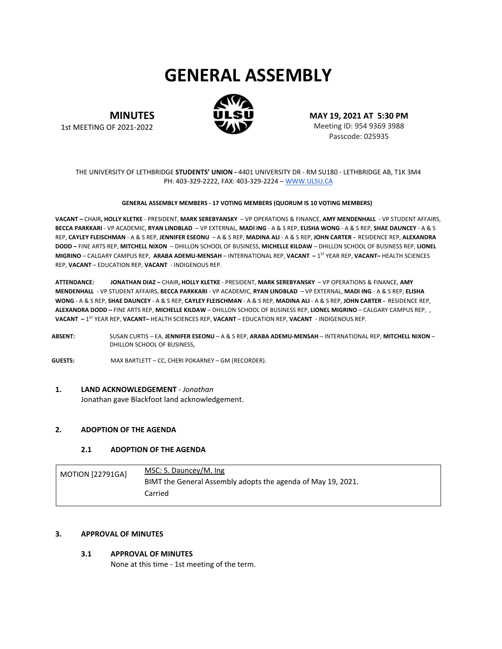# **GENERAL ASSEMBLY**



**MINUTES** 1st MEETING OF 2021-2022

**MAY 19, 2021 AT 5:30 PM** Meeting ID: 954 9369 3988 Passcode: 025935

# THE UNIVERSITY OF LETHBRIDGE **STUDENTS' UNION -** 4401 UNIVERSITY DR - RM SU180 - LETHBRIDGE AB, T1K 3M4 PH: 403-329-2222, FAX: 403-329-2224 – [WWW.ULSU.CA](http://www.ulsu.ca/)

#### **GENERAL ASSEMBLY MEMBERS - 17 VOTING MEMBERS (QUORUM IS 10 VOTING MEMBERS)**

**VACANT –** CHAIR**, HOLLY KLETKE** - PRESIDENT, **MARK SEREBYANSKY** – VP OPERATIONS & FINANCE, **AMY MENDENHALL** - VP STUDENT AFFAIRS, **BECCA PARKKARI** - VP ACADEMIC, **RYAN LINDBLAD** – VP EXTERNAL, **MADI ING** - A & S REP, **ELISHA WONG** - A & S REP, **SHAE DAUNCEY** - A & S REP, **CAYLEY FLEISCHMAN** - A & S REP, **JENNIFER ESEONU** – A & S REP, **MADINA ALI** - A & S REP, **JOHN CARTER -** RESIDENCE REP, **ALEXANDRA DODD –** FINE ARTS REP, **MITCHELL NIXON** – DHILLON SCHOOL OF BUSINESS, **MICHELLE KILDAW** – DHILLON SCHOOL OF BUSINESS REP, **LIONEL MIGRINO** – CALGARY CAMPUS REP, **ARABA ADEMU-MENSAH** – INTERNATIONAL REP, **VACANT –** 1ST YEAR REP, **VACANT–** HEALTH SCIENCES REP, **VACANT** – EDUCATION REP, **VACANT** - INDIGENOUS REP.

**ATTENDANCE: JONATHAN DIAZ –** CHAIR**, HOLLY KLETKE** - PRESIDENT, **MARK SEREBYANSKY** – VP OPERATIONS & FINANCE, **AMY MENDENHALL** - VP STUDENT AFFAIRS, **BECCA PARKKARI** - VP ACADEMIC, **RYAN LINDBLAD** – VP EXTERNAL, **MADI ING** - A & S REP, **ELISHA WONG** - A & S REP, **SHAE DAUNCEY** - A & S REP, **CAYLEY FLEISCHMAN** - A & S REP, **MADINA ALI** - A & S REP, **JOHN CARTER -** RESIDENCE REP, **ALEXANDRA DODD –** FINE ARTS REP, **MICHELLE KILDAW** – DHILLON SCHOOL OF BUSINESS REP, **LIONEL MIGRINO** – CALGARY CAMPUS REP, , **VACANT –** 1ST YEAR REP, **VACANT–** HEALTH SCIENCES REP, **VACANT** – EDUCATION REP, **VACANT** - INDIGENOUS REP.

**ABSENT:** SUSAN CURTIS – EA, **JENNIFER ESEONU** – A & S REP, **ARABA ADEMU-MENSAH** – INTERNATIONAL REP, **MITCHELL NIXON** – DHILLON SCHOOL OF BUSINESS,

**GUESTS:** MAX BARTLETT – CC, CHERI POKARNEY – GM (RECORDER).

# **1. LAND ACKNOWLEDGEMENT** *- Jonathan*

Jonathan gave Blackfoot land acknowledgement.

# **2. ADOPTION OF THE AGENDA**

#### **2.1 ADOPTION OF THE AGENDA**

| <b>MOTION [22791GA]</b> | MSC: S. Dauncey/M. Ing                                       |
|-------------------------|--------------------------------------------------------------|
|                         | BIMT the General Assembly adopts the agenda of May 19, 2021. |
|                         | Carried                                                      |

# **3. APPROVAL OF MINUTES**

# **3.1 APPROVAL OF MINUTES**

None at this time - 1st meeting of the term.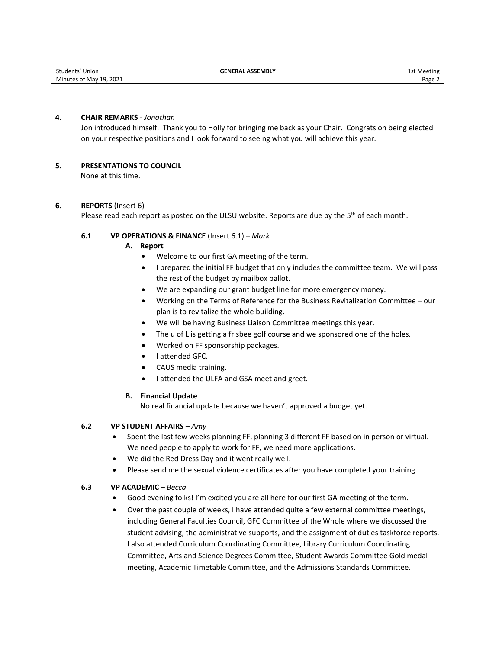#### **4. CHAIR REMARKS** *- Jonathan*

Jon introduced himself. Thank you to Holly for bringing me back as your Chair. Congrats on being elected on your respective positions and I look forward to seeing what you will achieve this year.

# **5. PRESENTATIONS TO COUNCIL**

None at this time.

#### **6. REPORTS** (Insert 6)

Please read each report as posted on the ULSU website. Reports are due by the 5<sup>th</sup> of each month.

#### **6.1 VP OPERATIONS & FINANCE** (Insert 6.1) *– Mark*

- **A. Report** 
	- Welcome to our first GA meeting of the term.
	- I prepared the initial FF budget that only includes the committee team. We will pass the rest of the budget by mailbox ballot.
	- We are expanding our grant budget line for more emergency money.
	- Working on the Terms of Reference for the Business Revitalization Committee our plan is to revitalize the whole building.
	- We will be having Business Liaison Committee meetings this year.
	- The u of L is getting a frisbee golf course and we sponsored one of the holes.
	- Worked on FF sponsorship packages.
	- I attended GFC.
	- CAUS media training.
	- I attended the ULFA and GSA meet and greet.

#### **B. Financial Update**

No real financial update because we haven't approved a budget yet.

#### **6.2 VP STUDENT AFFAIRS** *– Amy*

- Spent the last few weeks planning FF, planning 3 different FF based on in person or virtual. We need people to apply to work for FF, we need more applications.
- We did the Red Dress Day and it went really well.
- Please send me the sexual violence certificates after you have completed your training.

#### **6.3 VP ACADEMIC** *– Becca*

- Good evening folks! I'm excited you are all here for our first GA meeting of the term.
- Over the past couple of weeks, I have attended quite a few external committee meetings, including General Faculties Council, GFC Committee of the Whole where we discussed the student advising, the administrative supports, and the assignment of duties taskforce reports. I also attended Curriculum Coordinating Committee, Library Curriculum Coordinating Committee, Arts and Science Degrees Committee, Student Awards Committee Gold medal meeting, Academic Timetable Committee, and the Admissions Standards Committee.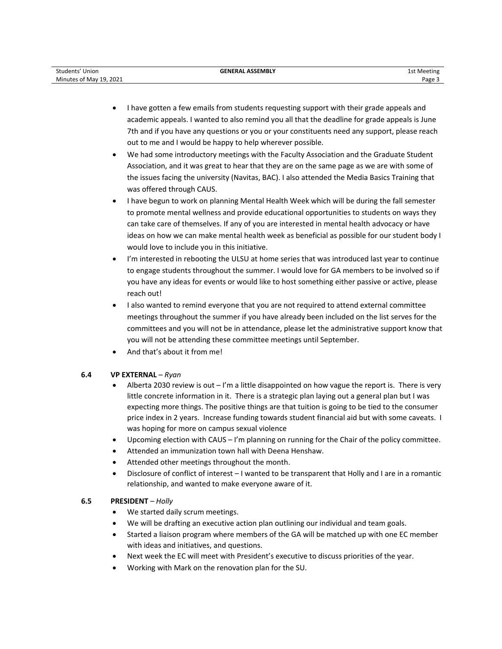| . 2021<br>Minutes of May 19. | Students'<br>Union | <b>GENERAL ASSEMBLY</b> | 1st Meeting                   |
|------------------------------|--------------------|-------------------------|-------------------------------|
|                              |                    |                         | Page $\overline{\phantom{a}}$ |

- I have gotten a few emails from students requesting support with their grade appeals and academic appeals. I wanted to also remind you all that the deadline for grade appeals is June 7th and if you have any questions or you or your constituents need any support, please reach out to me and I would be happy to help wherever possible.
- We had some introductory meetings with the Faculty Association and the Graduate Student Association, and it was great to hear that they are on the same page as we are with some of the issues facing the university (Navitas, BAC). I also attended the Media Basics Training that was offered through CAUS.
- I have begun to work on planning Mental Health Week which will be during the fall semester to promote mental wellness and provide educational opportunities to students on ways they can take care of themselves. If any of you are interested in mental health advocacy or have ideas on how we can make mental health week as beneficial as possible for our student body I would love to include you in this initiative.
- I'm interested in rebooting the ULSU at home series that was introduced last year to continue to engage students throughout the summer. I would love for GA members to be involved so if you have any ideas for events or would like to host something either passive or active, please reach out!
- I also wanted to remind everyone that you are not required to attend external committee meetings throughout the summer if you have already been included on the list serves for the committees and you will not be in attendance, please let the administrative support know that you will not be attending these committee meetings until September.
- And that's about it from me!

# **6.4 VP EXTERNAL** *– Ryan*

- Alberta 2030 review is out I'm a little disappointed on how vague the report is. There is very little concrete information in it. There is a strategic plan laying out a general plan but I was expecting more things. The positive things are that tuition is going to be tied to the consumer price index in 2 years. Increase funding towards student financial aid but with some caveats. I was hoping for more on campus sexual violence
- Upcoming election with CAUS I'm planning on running for the Chair of the policy committee.
- Attended an immunization town hall with Deena Henshaw.
- Attended other meetings throughout the month.
- Disclosure of conflict of interest I wanted to be transparent that Holly and I are in a romantic relationship, and wanted to make everyone aware of it.

# **6.5 PRESIDENT** *– Holly*

- We started daily scrum meetings.
- We will be drafting an executive action plan outlining our individual and team goals.
- Started a liaison program where members of the GA will be matched up with one EC member with ideas and initiatives, and questions.
- Next week the EC will meet with President's executive to discuss priorities of the year.
- Working with Mark on the renovation plan for the SU.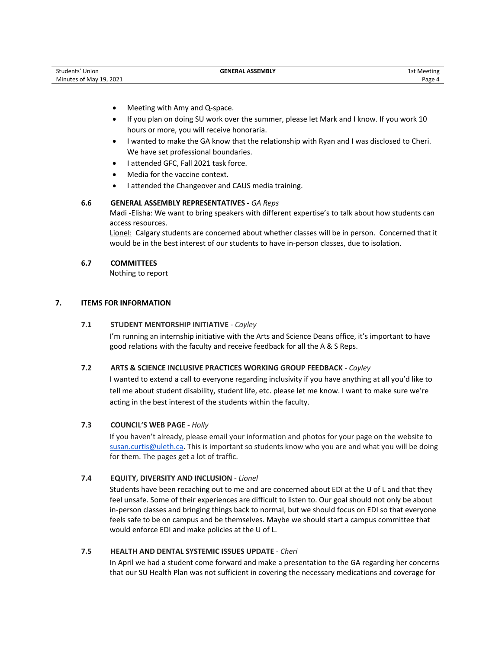| Students' Union         | <b>GENERAL ASSEMBLY</b> | 1st Meeting |
|-------------------------|-------------------------|-------------|
| Minutes of May 19, 2021 |                         | Page 4      |

- Meeting with Amy and Q-space.
- If you plan on doing SU work over the summer, please let Mark and I know. If you work 10 hours or more, you will receive honoraria.
- I wanted to make the GA know that the relationship with Ryan and I was disclosed to Cheri. We have set professional boundaries.
- I attended GFC, Fall 2021 task force.
- Media for the vaccine context.
- I attended the Changeover and CAUS media training.

#### **6.6 GENERAL ASSEMBLY REPRESENTATIVES -** *GA Reps*

Madi -Elisha: We want to bring speakers with different expertise's to talk about how students can access resources.

Lionel: Calgary students are concerned about whether classes will be in person. Concerned that it would be in the best interest of our students to have in-person classes, due to isolation.

#### **6.7 COMMITTEES**

Nothing to report

# **7. ITEMS FOR INFORMATION**

#### **7.1 STUDENT MENTORSHIP INITIATIVE** - *Cayley*

I'm running an internship initiative with the Arts and Science Deans office, it's important to have good relations with the faculty and receive feedback for all the A & S Reps.

# **7.2 ARTS & SCIENCE INCLUSIVE PRACTICES WORKING GROUP FEEDBACK** *- Cayley*

I wanted to extend a call to everyone regarding inclusivity if you have anything at all you'd like to tell me about student disability, student life, etc. please let me know. I want to make sure we're acting in the best interest of the students within the faculty.

#### **7.3 COUNCIL'S WEB PAGE** - *Holly*

If you haven't already, please email your information and photos for your page on the website to [susan.curtis@uleth.ca.](mailto:susan.curtis@uleth.ca) This is important so students know who you are and what you will be doing for them. The pages get a lot of traffic.

# **7.4 EQUITY, DIVERSITY AND INCLUSION** - *Lionel*

Students have been recaching out to me and are concerned about EDI at the U of L and that they feel unsafe. Some of their experiences are difficult to listen to. Our goal should not only be about in-person classes and bringing things back to normal, but we should focus on EDI so that everyone feels safe to be on campus and be themselves. Maybe we should start a campus committee that would enforce EDI and make policies at the U of L.

# **7.5 HEALTH AND DENTAL SYSTEMIC ISSUES UPDATE** - *Cheri*

In April we had a student come forward and make a presentation to the GA regarding her concerns that our SU Health Plan was not sufficient in covering the necessary medications and coverage for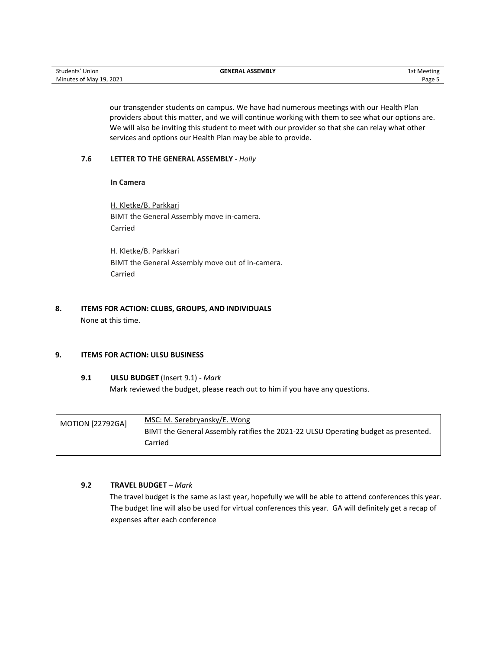our transgender students on campus. We have had numerous meetings with our Health Plan providers about this matter, and we will continue working with them to see what our options are. We will also be inviting this student to meet with our provider so that she can relay what other services and options our Health Plan may be able to provide.

#### **7.6 LETTER TO THE GENERAL ASSEMBLY** *- Holly*

**In Camera**

H. Kletke/B. Parkkari BIMT the General Assembly move in-camera. Carried

H. Kletke/B. Parkkari BIMT the General Assembly move out of in-camera. Carried

# **8. ITEMS FOR ACTION: CLUBS, GROUPS, AND INDIVIDUALS** None at this time.

# **9. ITEMS FOR ACTION: ULSU BUSINESS**

#### **9.1 ULSU BUDGET** (Insert 9.1) *- Mark*

Mark reviewed the budget, please reach out to him if you have any questions.

| <b>MOTION [22792GA]</b> | MSC: M. Serebryansky/E. Wong                                                       |
|-------------------------|------------------------------------------------------------------------------------|
|                         | BIMT the General Assembly ratifies the 2021-22 ULSU Operating budget as presented. |
|                         | Carried                                                                            |

# **9.2 TRAVEL BUDGET** *– Mark*

The travel budget is the same as last year, hopefully we will be able to attend conferences this year. The budget line will also be used for virtual conferences this year. GA will definitely get a recap of expenses after each conference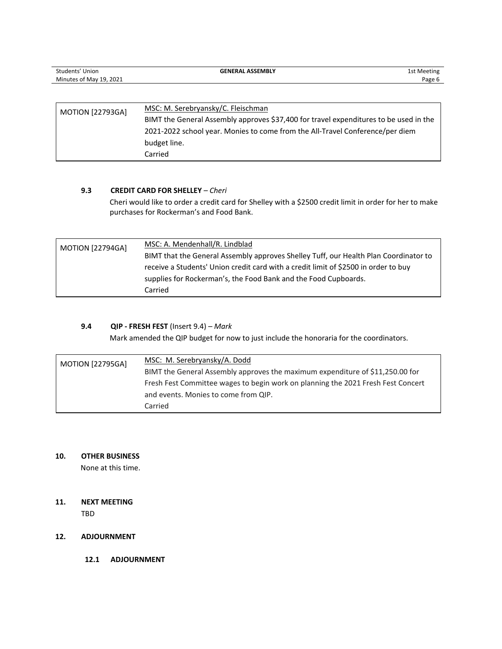| Students' Union         | <b>GENERAL ASSEMBLY</b>                                                               | 1st Meeting |
|-------------------------|---------------------------------------------------------------------------------------|-------------|
| Minutes of May 19, 2021 |                                                                                       | Page 6      |
|                         |                                                                                       |             |
|                         |                                                                                       |             |
| <b>MOTION [22793GA]</b> | MSC: M. Serebryansky/C. Fleischman                                                    |             |
|                         | BIMT the General Assembly approves \$37,400 for travel expenditures to be used in the |             |
|                         | 2021-2022 school year. Monies to come from the All-Travel Conference/per diem         |             |
|                         | budget line.                                                                          |             |
|                         | Carried                                                                               |             |

# **9.3 CREDIT CARD FOR SHELLEY** *– Cheri*

Cheri would like to order a credit card for Shelley with a \$2500 credit limit in order for her to make purchases for Rockerman's and Food Bank.

| <b>MOTION [22794GA]</b> | MSC: A. Mendenhall/R. Lindblad                                                       |
|-------------------------|--------------------------------------------------------------------------------------|
|                         | BIMT that the General Assembly approves Shelley Tuff, our Health Plan Coordinator to |
|                         | receive a Students' Union credit card with a credit limit of \$2500 in order to buy  |
|                         | supplies for Rockerman's, the Food Bank and the Food Cupboards.                      |
|                         | Carried                                                                              |

# **9.4 QIP - FRESH FEST** (Insert 9.4) *– Mark*

Mark amended the QIP budget for now to just include the honoraria for the coordinators.

| <b>MOTION [22795GA]</b> | MSC: M. Serebryansky/A. Dodd                                                     |
|-------------------------|----------------------------------------------------------------------------------|
|                         | BIMT the General Assembly approves the maximum expenditure of \$11,250.00 for    |
|                         | Fresh Fest Committee wages to begin work on planning the 2021 Fresh Fest Concert |
|                         | and events. Monies to come from QIP.                                             |
|                         | Carried                                                                          |

# **10. OTHER BUSINESS**

None at this time.

# **11. NEXT MEETING**

TBD

# **12. ADJOURNMENT**

**12.1 ADJOURNMENT**